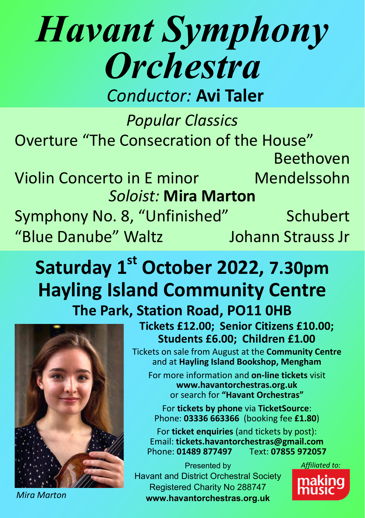## *Havant Symphony Orchestra*

*Conductor:* **Avi Taler**

*Popular Classics* Overture "The Consecration of the House" Beethoven

Violin Concerto in E minor Mendelssohn *Soloist:* **Mira Marton**

Symphony No. 8, "Unfinished" Schubert "Blue Danube" Waltz Johann Strauss Jr

## **Saturday 1st October 2022, 7.30pm Hayling Island Community Centre**

**The Park, Station Road, PO11 0HB**



**Tickets £12.00; Senior Citizens £10.00; Students £6.00; Children £1.00**

Tickets on sale from August at the **Community Centre** and at **Hayling Island Bookshop, Mengham** 

For more information and **on-line tickets** visit **www.havantorchestras.org.uk** or search for **"Havant Orchestras"**

For **tickets by phone** via **TicketSource**: Phone: **03336 663366** (booking fee **£1.80**)

For **ticket enquiries** (and tickets by post): Email: **tickets.havantorchestras@gmail.com Phone: 01489 877497** 

Presented by Havant and District Orchestral Society Registered Charity No 288747 **www.havantorchestras.org.uk**



*Mira Marton*